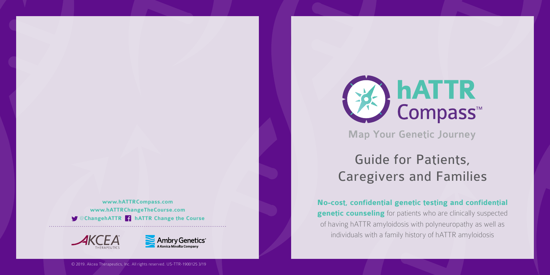# Guide for Patients, Caregivers and Families

© 2019. Akcea Therapeutics, Inc. All rights reserved. US-TTR-1900125 3/19

# **hATTR**<br>Compass™ **Map Your Genetic Journey**

**No-cost, confidential genetic testing and confidential genetic counseling** for patients who are clinically suspected of having hATTR amyloidosis with polyneuropathy as well as individuals with a family history of hATTR amyloidosis

**[www.hATTRCompass.com](http://www.hATTRCompass.com) [www.hATTRChangeTheCourse.com](http://www.hattrchangeTheCourse.com)**  @**[ChangehATTR](https://twitter.com/changehattr) [hATTR Change the Course](https://www.facebook.com/hATTRChangeTheCourse/)**





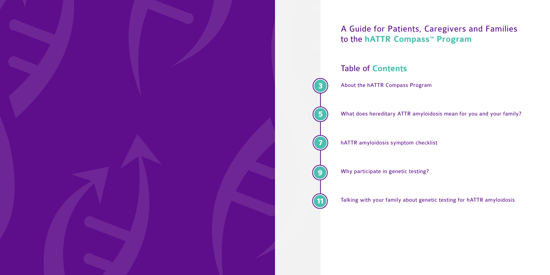What does hereditary ATTR amyloidosis mean for you and your family?



# A Guide for Patients, Caregivers and Families to the **hATTR Compass<sup>™</sup> Program**

Talking with your family about genetic testing for hATTR amyloidosis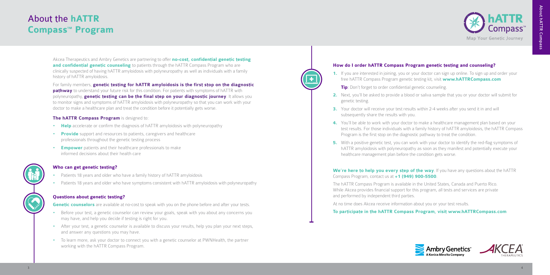# About the **hATTR Compass<sup>™</sup> Program**

Akcea Therapeutics and Ambry Genetics are partnering to offer **no-cost, confidential genetic testing and confidential genetic counseling** to patients through the hATTR Compass Program who are clinically suspected of having hATTR amyloidosis with polyneuropathy as well as individuals with a family history of hATTR amyloidosis.

For family members, **genetic testing for hATTR amyloidosis is the first stop on the diagnostic pathway** to understand your future risk for this condition. For patients with symptoms of hATTR with polyneuropathy, **genetic testing can be the final step on your diagnostic journey**. It allows you to monitor signs and symptoms of hATTR amyloidosis with polyneuropathy so that you can work with your doctor to make a healthcare plan and treat the condition before it potentially gets worse.

#### **The hATTR Compass Program** is designed to:

- **Help** accelerate or confirm the diagnosis of hATTR amyloidosis with polyneuropathy
- • **Provide** support and resources to patients, caregivers and healthcare professionals throughout the genetic testing process
- **Empower** patients and their healthcare professionals to make informed decisions about their health care

## **Who can get genetic testing?**

- Patients 18 years and older who have a family history of hATTR amyloidosis
- •Patients 18 years and older who have symptoms consistent with hATTR amyloidosis with polyneuropathy

**4.** You'll be able to work with your doctor to make a healthcare management plan based on your test results. For those individuals with a family history of hATTR amyloidosis, the hATTR Compass Program is the first stop on the diagnostic pathway to treat the condition.

## **Questions about genetic testing?**

**Genetic counselors** are available at no-cost to speak with you on the phone before and after your tests.

**5.** With a positive genetic test, you can work with your doctor to identify the red-flag symptoms of hATTR amyloidosis with polyneuropathy as soon as they manifest and potentially execute your





- •Before your test, a genetic counselor can review your goals, speak with you about any concerns you may have, and help you decide if testing is right for you.
- •After your test, a genetic counselor is available to discuss your results, help you plan your next steps, and answer any questions you may have.
- To learn more, ask your doctor to connect you with a genetic counselor at PWNHealth, the partner working with the hATTR Compass Program.

## **How do I order hATTR Compass Program genetic testing and counseling?**

**1.** If you are interested in joining, you or your doctor can sign up online. To sign up and order your free hATTR Compass Program genetic testing kit, visit **[www.hATTRCompass.com](http://www.hATTRCompass.com)**

**3.** Your doctor will receive your test results within 2-4 weeks after you send it in and will

- - **Tip**: Don't forget to order confidential genetic counseling.
- **2.** Next, you'll be asked to provide a blood or saliva sample that you or your doctor will submit for genetic testing.
- subsequently share the results with you.
- 
- healthcare management plan before the condition gets worse.

## **We're here to help you every step of the way**. If you have any questions about the hATTR Compass Program, contact us at **+1 (949) 900-5500**.

The hATTR Compass Program is available in the United States, Canada and Puerto Rico. While Akcea provides financial support for this program, all tests and services are private and performed by independent third parties.

At no time does Akcea receive information about you or your test results.

## **To participate in the hATTR Compass Program, visit [www.hATTRCompass.com](http://www.hATTRCompass.com)**



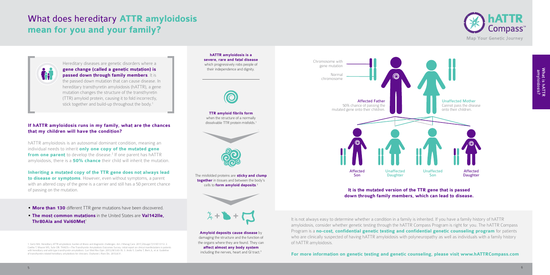**TTR amyloid fibrils form** when the structure of a normally dissolvable TTR protein misfolds.<sup>1</sup>

**hATTR amyloidosis is a severe, rare and fatal disease** which progressively robs people of their independence and dignity.



- **More than 130** different TTR gene mutations have been discovered.
- **The most common mutations** in the United States are **Val142Ile, Thr80Ala and Val60Met<sup>1</sup>**

# What does hereditary **ATTR amyloidosis mean for you and your family?**



Hereditary diseases are genetic disorders where a **gene change (called a genetic mutation) is passed down through family members**. It is the passed down mutation that can cause disease. In hereditary transthyretin amyloidosis (hATTR), a gene mutation changes the structure of the transthyretin (TTR) amyloid protein, causing it to fold incorrectly, stick together and build-up throughout the body.<sup>1</sup>

## **If hATTR amyloidosis runs in my family, what are the chances that my children will have the condition?**

**Amyloid deposits cause disease** by damaging the structure and the function of the organs where they are found. They can **affect almost any body system** including the nerves, heart and GI tract.<sup>3</sup>

hATTR amyloidosis is an autosomal dominant condition, meaning an individual needs to inherit **only one copy of the mutated gene from one parent** to develop the disease.<sup>2</sup> If one parent has hATTR amyloidosis, there is a **50% chance** their child will inherit the mutation.

**Inheriting a mutated copy of the TTR gene does not always lead to disease or symptoms**. However, even without symptoms, a parent with an altered copy of the gene is a carrier and still has a 50 percent chance of passing on the mutation.



The misfolded proteins are **sticky and clump together** in tissues and between the body's cells to **form amyloid deposits**. 3



It is not always easy to determine whether a condition in a family is inherited. If you have a family history of hATTR amyloidosis, consider whether genetic testing through the hATTR Compass Program is right for you. The hATTR Compass Program is a **no-cost, confidential genetic testing and confidential genetic counseling program** for patients who are clinically suspected of having hATTR amyloidosis with polyneuropathy as well as individuals with a family history of hATTR amyloidosis.

#### **For more information on genetic testing and genetic counseling, please visit [www.hATTRCompass.com](http://www.hATTRCompass.com)**

1. Gertz MA. Hereditary ATTR amyloidosis: burden of illness and diagnostic challenges. Am J Manag Care. 2017;23(suppl 7):S107-S112. 2. Coelho T, Maurer MS, Suhr OB. THAOS—The Transthyretin Amyloidosis Outcomes Survey: initial report on clinical manifestations in patients with hereditary and wild-type transthyretin amyloidosis. Curr Med Res Opin. 2013;29(1):63-76. 3. Ando Y, Coelho T, Berk JL, et al. Guideline of transthyretin-related hereditary amyloidosis for clinicians. Orphanet J Rare Dis. 2013;8:31.



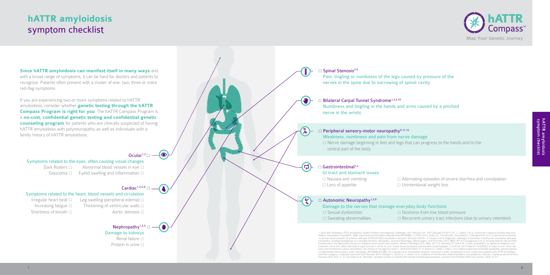# **hATTR amyloidosis**  symptom checklist

#### Symptoms related to the heart, blood vessels and circulation

Irregular heart beat  $\Box$  Leg swelling (peripheral edema)  $\Box$ Increasing fatigue  $\square$  Thickening of ventricular walls  $\square$ Shortness of breath  $\Box$  Aortic stenosis  $\Box$ 

## Nephropathy<sup>1,2,9</sup>

Damage to kidneys Renal failure  $\Box$ Protein in urine  $\Box$ 

#### □ Bilateral Carpal Tunnel Syndrome<sup>1,3,6,10</sup> Numbness and tingling in the hands and arms caused by a pinched nerve in the wrists



#### Symptoms related to the eyes, often causing visual changes

Dark floaters  $\Box$  Abnormal blood vessels in eye  $\Box$ Glaucoma  $\Box$  Eyelid swelling and inflammation  $\Box$ 

## Cardiac<sup>1,2,6-8</sup>  $\Box$

 $\Box$  Peripheral sensory-motor neuropathy<sup>9,11,12</sup> Weakness, numbness and pain from nerve damage □ Nerve damage beginning in feet and legs that can progress to the hands and to the central part of the body

#### $\square$  Gastrointestinal<sup>1,2</sup>

 $\mathbf{Z}$ 

**Since hATTR amyloidosis can manifest itself in many ways** and with a broad range of symptoms, it can be hard for doctors and patients to recognize. Patients often present with a cluster of one, two, three or more red-flag symptoms.

If you are experiencing two or more symptoms related to hATTR amyloidosis, consider whether **genetic testing through the hATTR Compass Program is right for you**. The hATTR Compass Program is a **no-cost, confidential genetic testing and confidential genetic counseling program** for patients who are clinically suspected of having hATTR amyloidosis with polyneuropathy as well as individuals with a family history of hATTR amyloidosis.

#### $\bullet$ Ocular<sup>1,2</sup> $\Box$

| <b>GI tract and stomach issues</b> |  |
|------------------------------------|--|
| $\Box$ Nausea and vomiting         |  |
| $\Box$ Loss of appetite            |  |

#### $\Box$  Autonomic Neuropathy<sup>1,2,9</sup>

| Damage to the nerves that manage ever |               |
|---------------------------------------|---------------|
| $\Box$ Sexual dysfunction             | $\Box$ $\Box$ |
| $\Box$ Sweating abnormalities         | $\Box$ R      |

1. Gertz MA. Hereditary ATTR amyloidosis: burden of illness and diagnostic challenges. Am J Manag Care. 2017;23(suppl 7):S107-S112. 2. Coelho T, et al. A physician's guide to transthyretin amyloidosis. Amyloidosis Foundation, 2008. https://www.researchgate.net/publication/265490881\_A\_Physician's\_Guide\_to\_Transthyretin\_Amyloidosis; 3. Nakagawa M, et al. Carpal tunnel syndrome:<br>a common initial symptom of systemi neuropathy: avoiding misdiagnosis of a treatable hereitary neuropathy. Journal of Neurology, Neurosurgery, and Psychiatry 2017, 88(5): 457-8; 5. Yanagisawa A et al. Amyloid deposits derived from transthyretin in the ligamentum flavum as realted to lumar spinal canal stenosis. Modern Pathology 2015; 28(2): 201-7; 6. Donnelly JP, Hanna M. Cardiac amyloidosis: an update on diagnosis and<br>treatment. Cleve Clin J Med. 2 nosis and transthyretin cardiac amyloidosis: the chicken or the egg? Eur Heart J. 2016;37(47):3525-31; 9. Adams D, Coelho T, Obici L, et al. Rapid progression of familial amyloidotic polyneuropathy a multinational natural history study. Neurology. 2015;85(8):675-682; 10. Lousada I et al. Amyloidosis research consortium cardiac amyloidosis survey: results from patients with ATTR amyloidosis and their caregivers. Orphanet Journal of Rare Diseases 2017;12(Suppl 1): 165 (P7); 11. Ando Y et al. Guideline of transthyretin-related hereditary amyloidosis for clinicians. Orphanet Journal of Rare Diseases 2013, 8:31; 2; 12. Conceição et al. "Red-flag" symptom clusters in transthyretin familial amyloid polyneuropathy. Journal of the Peripheral Nervous System. 2016; 21:5-9



hATTR amyloidosis<br>symptom checklist

 $\Box$  Alternating episodes of severe diarrhea and constipation  $\square$  Unintentional weight loss

ryday body functions lizziness from low blood pressure ecurrent urinary tract infections (due to urinary retention)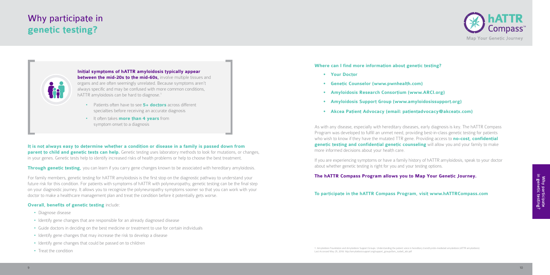#### **Where can I find more information about genetic testing?**

- **• Your Doctor**
- **• Genetic Counselor ([www.pwnhealth.com](http://www.pwnhealth.com))**
- **• Amyloidosis Research Consortium [\(www.ARCI.org](http://www.ARCI.org))**
- **• Amyloidosis Support Group [\(www.amyloidosissupport.org\)](http://www.amyloidosissupport.org)**
- **• Akcea Patient Advocacy (email: [patientadvocacy@akceatx.com](mailto:patientadvocacy%40akceatx.com?subject=Information%20on%20Genetic%20Testing))**

As with any disease, especially with hereditary diseases, early diagnosis is key. The hATTR Compass Program was developed to fulfill an unmet need, providing best-in-class genetic testing for patients who wish to know if they have the mutated TTR gene. Providing access to **no-cost, confidential genetic testing and confidential genetic counseling** will allow you and your family to make more informed decisions about your health care.

**Initial symptoms of hATTR amyloidosis typically appear between the mid-20s to the mid-60s, involve multiple tissues and** organs and are often seemingly unrelated. Because symptoms aren't always specific and may be confused with more common conditions, hATTR amyloidosis can be hard to diagnose.<sup>1</sup>

> If you are experiencing symptoms or have a family history of hATTR amyloidosis, speak to your doctor about whether genetic testing is right for you and your testing options.

#### **The hATTR Compass Program allows you to Map Your Genetic Journey.**

#### **To participate in the hATTR Compass Program, visit www.hATTRCompass.com**

1. Amyloidosis Foundation and Amyloidosis Support Groups. Understanding the patient voice in hereditary transthyretin-mediated amyloidosis (ATTR amyloidosis). Last Accessed May 25, 2018. http://amyloidosissupport.org/support\_groups/fam\_isabell\_attr.pdf

# Why participate in **genetic testing?**



- Diagnose disease
- Identify gene changes that are responsible for an already diagnosed disease
- Guide doctors in deciding on the best medicine or treatment to use for certain individuals
- Identify gene changes that may increase the risk to develop a disease
- Identify gene changes that could be passed on to children
- Treat the condition
- Patients often have to see **5+ doctors** across different specialties before receiving an accurate diagnosis
- It often takes **more than 4 years** from symptom onset to a diagnosis

**It is not always easy to determine whether a condition or disease in a family is passed down from parent to child and genetic tests can help.** Genetic testing uses laboratory methods to look for mutations, or changes, in your genes. Genetic tests help to identify increased risks of health problems or help to choose the best treatment.

**Through genetic testing,** you can learn if you carry gene changes known to be associated with hereditary amyloidosis.

For family members, genetic testing for hATTR amyloidosis is the first stop on the diagnostic pathway to understand your future risk for this condition. For patients with symptoms of hATTR with polyneuropathy, genetic testing can be the final step on your diagnostic journey. It allows you to recognize the polyneuropathy symptoms sooner so that you can work with your doctor to make a healthcare management plan and treat the condition before it potentially gets worse.

#### **Overall, benefits of genetic testing include:**



Why participate<br>in genetic testing?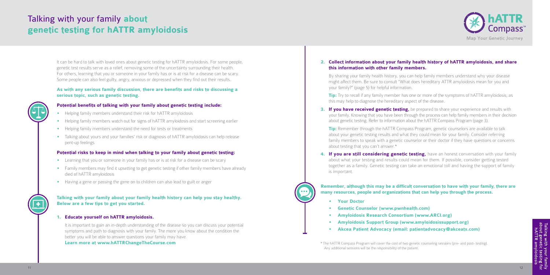It can be hard to talk with loved ones about genetic testing for hATTR amyloidosis. For some people, genetic test results serve as a relief, removing some of the uncertainty surrounding their health. For others, learning that you or someone in your family has or is at risk for a disease can be scary. Some people can also feel guilty, angry, anxious or depressed when they find out their results.

#### **As with any serious family discussion, there are benefits and risks to discussing a serious topic, such as genetic testing.**

#### **Potential benefits of talking with your family about genetic testing include:**

- Helping family members understand their risk for hATTR amyloidosis
- **•** Helping family members watch out for signs of hATTR amyloidosis and start screening earlier
- **•** Helping family members understand the need for tests or treatments
- **•** Talking about yours and your families' risk or diagnosis of hATTR amyloidosis can help release pent-up feelings

## **Potential risks to keep in mind when talking to your family about genetic testing:**

**Tip:** Try to recall if any family member has one or more of the symptoms of hATTR amyloidosis, as this may help to diagnose the hereditary aspect of the disease.

- Learning that you or someone in your family has or is at risk for a disease can be scary
- Family members may find it upsetting to get genetic testing if other family members have already died of hATTR amyloidosis
- Having a gene or passing the gene on to children can also lead to guilt or anger

**3. If you have received genetic testing,** be prepared to share your experience and results with your family. Knowing that you have been through the process can help family members in their decision about genetic testing. Refer to information about the hATTR Compass Program (page 3).

#### **Talking with your family about your family health history can help you stay healthy. Below are a few tips to get you started.**

**Tip:** Remember through the hATTR Compass Program, genetic counselors are available to talk about your genetic testing results and what they could mean for your family. Consider referring family members to speak with a genetic counselor or their doctor if they have questions or concerns about testing that you can't answer.\*

#### **1. Educate yourself on hATTR amyloidosis.**

4. If you are still considering genetic testing, have an honest conversation with your family about what your testing and results could mean for them. If possible, consider getting tested together as a family. Genetic testing can take an emotional toll and having the support of family is important.

 It is important to gain an in-depth understanding of the disease so you can discuss your potential symptoms and path to diagnosis with your family. The more you know about the condition the better you will be able to answer questions your family may have.

#### **Learn more at [www.hATTRChangeTheCourse.com](http://www.hATTRChangeTheCourse.com)**

## **2. Collect information about your family health history of hATTR amyloidosis, and share this information with other family members.**

# Talking with your family **about genetic testing for hATTR amyloidosis**

By sharing your family health history, you can help family members understand why your disease might affect them. Be sure to consult "What does hereditary ATTR amyloidosis mean for you and your family?" (page 5) for helpful information.

**Remember, although this may be a difficult conversation to have with your family, there are many resources, people and organizations that can help you through the process.**

**• Your Doctor**

 $\bullet\bullet\bullet$ 

- **• Genetic Counselor ([www.pwnhealth.com\)](http://www.pwnhealth.com)**
- **• Amyloidosis Research Consortium [\(www.ARCI.org\)](http://www.ARCI.org)**
	- **• Amyloidosis Support Group ([www.amyloidosissupport.org](http://www.amyloidosissupport.org))**
	- **• Akcea Patient Advocacy (email: [patientadvocacy@akceatx.com\)](mailto:patientadvocacy%40akceatx.com?subject=hATTR%20Resources)**

\* The hATTR Compass Program will cover the cost of two genetic counseling sessions (pre- and post- testing). Any additional sessions will be the responsibility of the patient.



Talking with your family<br>about genetic testing for<br>hATTR amyloidosis